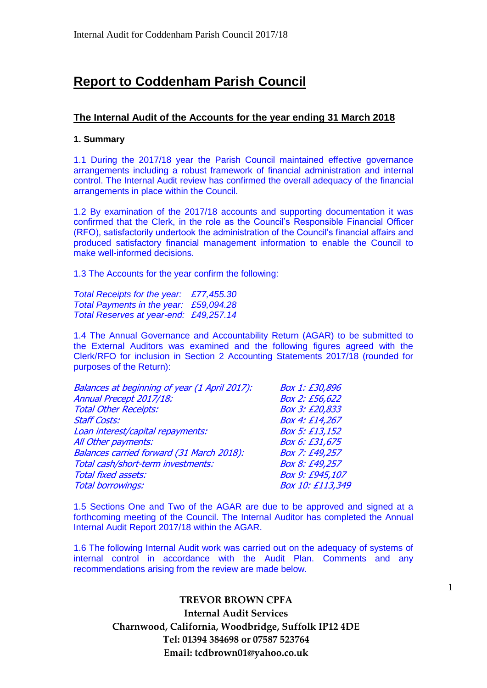# **Report to Coddenham Parish Council**

### **The Internal Audit of the Accounts for the year ending 31 March 2018**

#### **1. Summary**

1.1 During the 2017/18 year the Parish Council maintained effective governance arrangements including a robust framework of financial administration and internal control. The Internal Audit review has confirmed the overall adequacy of the financial arrangements in place within the Council.

1.2 By examination of the 2017/18 accounts and supporting documentation it was confirmed that the Clerk, in the role as the Council's Responsible Financial Officer (RFO), satisfactorily undertook the administration of the Council's financial affairs and produced satisfactory financial management information to enable the Council to make well-informed decisions.

1.3 The Accounts for the year confirm the following:

*Total Receipts for the year: £77,455.30 Total Payments in the year: £59,094.28 Total Reserves at year-end: £49,257.14*

1.4 The Annual Governance and Accountability Return (AGAR) to be submitted to the External Auditors was examined and the following figures agreed with the Clerk/RFO for inclusion in Section 2 Accounting Statements 2017/18 (rounded for purposes of the Return):

| Balances at beginning of year (1 April 2017): | Box 1: £30,896   |
|-----------------------------------------------|------------------|
| Annual Precept 2017/18:                       | Box 2: £56,622   |
| <b>Total Other Receipts:</b>                  | Box 3: £20,833   |
| <b>Staff Costs:</b>                           | Box 4: £14,267   |
| Loan interest/capital repayments:             | Box 5: £13,152   |
| All Other payments:                           | Box 6: £31,675   |
| Balances carried forward (31 March 2018):     | Box 7: £49,257   |
| Total cash/short-term investments:            | Box 8: £49,257   |
| <b>Total fixed assets:</b>                    | Box 9: £945,107  |
| <b>Total borrowings:</b>                      | Box 10: £113,349 |
|                                               |                  |

1.5 Sections One and Two of the AGAR are due to be approved and signed at a forthcoming meeting of the Council. The Internal Auditor has completed the Annual Internal Audit Report 2017/18 within the AGAR.

1.6 The following Internal Audit work was carried out on the adequacy of systems of internal control in accordance with the Audit Plan. Comments and any recommendations arising from the review are made below.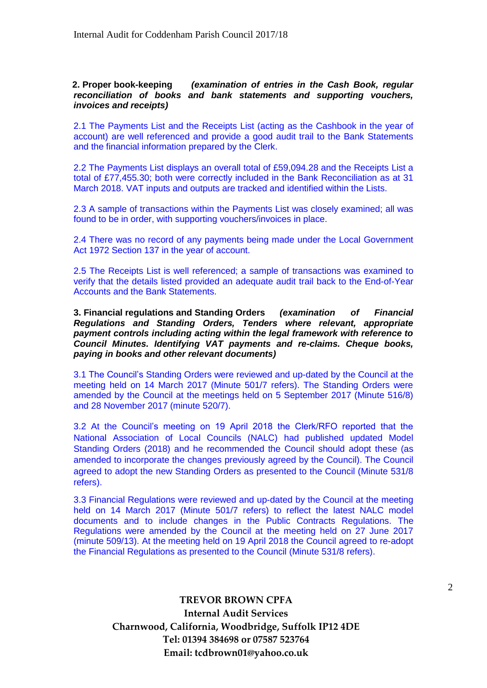#### **2. Proper book-keeping** *(examination of entries in the Cash Book, regular reconciliation of books and bank statements and supporting vouchers, invoices and receipts)*

2.1 The Payments List and the Receipts List (acting as the Cashbook in the year of account) are well referenced and provide a good audit trail to the Bank Statements and the financial information prepared by the Clerk.

2.2 The Payments List displays an overall total of £59,094.28 and the Receipts List a total of £77,455.30; both were correctly included in the Bank Reconciliation as at 31 March 2018. VAT inputs and outputs are tracked and identified within the Lists.

2.3 A sample of transactions within the Payments List was closely examined; all was found to be in order, with supporting vouchers/invoices in place.

2.4 There was no record of any payments being made under the Local Government Act 1972 Section 137 in the year of account.

2.5 The Receipts List is well referenced; a sample of transactions was examined to verify that the details listed provided an adequate audit trail back to the End-of-Year Accounts and the Bank Statements.

**3. Financial regulations and Standing Orders** *(examination of Financial Regulations and Standing Orders, Tenders where relevant, appropriate payment controls including acting within the legal framework with reference to Council Minutes. Identifying VAT payments and re-claims. Cheque books, paying in books and other relevant documents)*

3.1 The Council's Standing Orders were reviewed and up-dated by the Council at the meeting held on 14 March 2017 (Minute 501/7 refers). The Standing Orders were amended by the Council at the meetings held on 5 September 2017 (Minute 516/8) and 28 November 2017 (minute 520/7).

3.2 At the Council's meeting on 19 April 2018 the Clerk/RFO reported that the National Association of Local Councils (NALC) had published updated Model Standing Orders (2018) and he recommended the Council should adopt these (as amended to incorporate the changes previously agreed by the Council). The Council agreed to adopt the new Standing Orders as presented to the Council (Minute 531/8 refers).

3.3 Financial Regulations were reviewed and up-dated by the Council at the meeting held on 14 March 2017 (Minute 501/7 refers) to reflect the latest NALC model documents and to include changes in the Public Contracts Regulations. The Regulations were amended by the Council at the meeting held on 27 June 2017 (minute 509/13). At the meeting held on 19 April 2018 the Council agreed to re-adopt the Financial Regulations as presented to the Council (Minute 531/8 refers).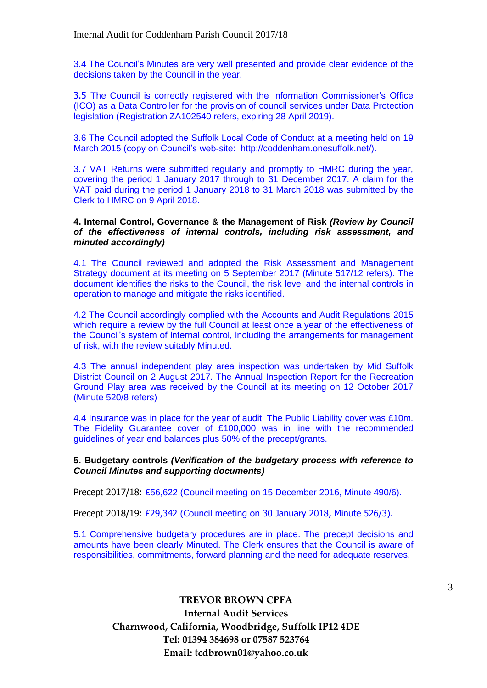3.4 The Council's Minutes are very well presented and provide clear evidence of the decisions taken by the Council in the year.

3.5 The Council is correctly registered with the Information Commissioner's Office (ICO) as a Data Controller for the provision of council services under Data Protection legislation (Registration ZA102540 refers, expiring 28 April 2019).

3.6 The Council adopted the Suffolk Local Code of Conduct at a meeting held on 19 March 2015 (copy on Council's web-site: http://coddenham.onesuffolk.net/).

3.7 VAT Returns were submitted regularly and promptly to HMRC during the year, covering the period 1 January 2017 through to 31 December 2017. A claim for the VAT paid during the period 1 January 2018 to 31 March 2018 was submitted by the Clerk to HMRC on 9 April 2018.

#### **4. Internal Control, Governance & the Management of Risk** *(Review by Council of the effectiveness of internal controls, including risk assessment, and minuted accordingly)*

4.1 The Council reviewed and adopted the Risk Assessment and Management Strategy document at its meeting on 5 September 2017 (Minute 517/12 refers). The document identifies the risks to the Council, the risk level and the internal controls in operation to manage and mitigate the risks identified.

4.2 The Council accordingly complied with the Accounts and Audit Regulations 2015 which require a review by the full Council at least once a year of the effectiveness of the Council's system of internal control, including the arrangements for management of risk, with the review suitably Minuted.

4.3 The annual independent play area inspection was undertaken by Mid Suffolk District Council on 2 August 2017. The Annual Inspection Report for the Recreation Ground Play area was received by the Council at its meeting on 12 October 2017 (Minute 520/8 refers)

4.4 Insurance was in place for the year of audit. The Public Liability cover was £10m. The Fidelity Guarantee cover of £100,000 was in line with the recommended guidelines of year end balances plus 50% of the precept/grants.

#### **5. Budgetary controls** *(Verification of the budgetary process with reference to Council Minutes and supporting documents)*

Precept 2017/18: £56,622 (Council meeting on 15 December 2016, Minute 490/6).

Precept 2018/19: £29,342 (Council meeting on 30 January 2018, Minute 526/3).

5.1 Comprehensive budgetary procedures are in place. The precept decisions and amounts have been clearly Minuted. The Clerk ensures that the Council is aware of responsibilities, commitments, forward planning and the need for adequate reserves.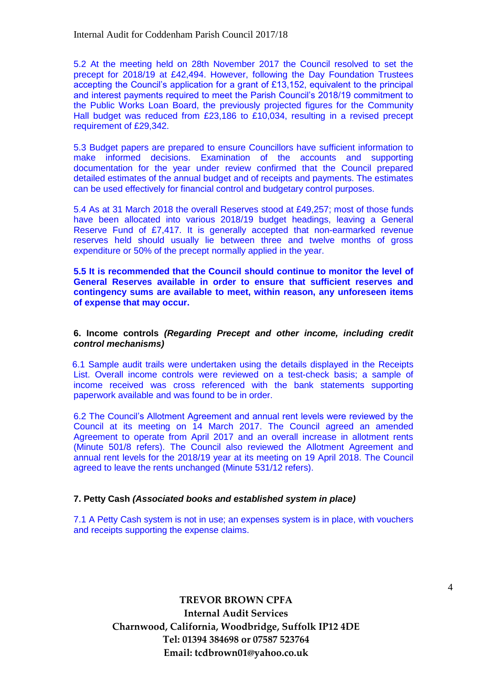5.2 At the meeting held on 28th November 2017 the Council resolved to set the precept for 2018/19 at £42,494. However, following the Day Foundation Trustees accepting the Council's application for a grant of £13,152, equivalent to the principal and interest payments required to meet the Parish Council's 2018/19 commitment to the Public Works Loan Board, the previously projected figures for the Community Hall budget was reduced from £23,186 to £10,034, resulting in a revised precept requirement of £29,342.

5.3 Budget papers are prepared to ensure Councillors have sufficient information to make informed decisions. Examination of the accounts and supporting documentation for the year under review confirmed that the Council prepared detailed estimates of the annual budget and of receipts and payments. The estimates can be used effectively for financial control and budgetary control purposes.

5.4 As at 31 March 2018 the overall Reserves stood at £49,257; most of those funds have been allocated into various 2018/19 budget headings, leaving a General Reserve Fund of £7,417. It is generally accepted that non-earmarked revenue reserves held should usually lie between three and twelve months of gross expenditure or 50% of the precept normally applied in the year.

**5.5 It is recommended that the Council should continue to monitor the level of General Reserves available in order to ensure that sufficient reserves and contingency sums are available to meet, within reason, any unforeseen items of expense that may occur.** 

#### **6. Income controls** *(Regarding Precept and other income, including credit control mechanisms)*

6.1 Sample audit trails were undertaken using the details displayed in the Receipts List. Overall income controls were reviewed on a test-check basis; a sample of income received was cross referenced with the bank statements supporting paperwork available and was found to be in order.

6.2 The Council's Allotment Agreement and annual rent levels were reviewed by the Council at its meeting on 14 March 2017. The Council agreed an amended Agreement to operate from April 2017 and an overall increase in allotment rents (Minute 501/8 refers). The Council also reviewed the Allotment Agreement and annual rent levels for the 2018/19 year at its meeting on 19 April 2018. The Council agreed to leave the rents unchanged (Minute 531/12 refers).

#### **7. Petty Cash** *(Associated books and established system in place)*

7.1 A Petty Cash system is not in use; an expenses system is in place, with vouchers and receipts supporting the expense claims.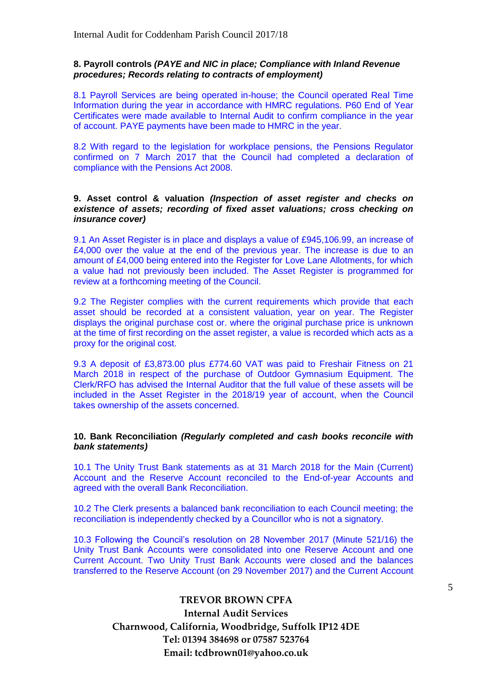#### **8. Payroll controls** *(PAYE and NIC in place; Compliance with Inland Revenue procedures; Records relating to contracts of employment)*

8.1 Payroll Services are being operated in-house; the Council operated Real Time Information during the year in accordance with HMRC regulations. P60 End of Year Certificates were made available to Internal Audit to confirm compliance in the year of account. PAYE payments have been made to HMRC in the year.

8.2 With regard to the legislation for workplace pensions, the Pensions Regulator confirmed on 7 March 2017 that the Council had completed a declaration of compliance with the Pensions Act 2008.

#### **9. Asset control & valuation** *(Inspection of asset register and checks on existence of assets; recording of fixed asset valuations; cross checking on insurance cover)*

9.1 An Asset Register is in place and displays a value of £945,106.99, an increase of £4,000 over the value at the end of the previous year. The increase is due to an amount of £4,000 being entered into the Register for Love Lane Allotments, for which a value had not previously been included. The Asset Register is programmed for review at a forthcoming meeting of the Council.

9.2 The Register complies with the current requirements which provide that each asset should be recorded at a consistent valuation, year on year. The Register displays the original purchase cost or. where the original purchase price is unknown at the time of first recording on the asset register, a value is recorded which acts as a proxy for the original cost.

9.3 A deposit of £3,873.00 plus £774.60 VAT was paid to Freshair Fitness on 21 March 2018 in respect of the purchase of Outdoor Gymnasium Equipment. The Clerk/RFO has advised the Internal Auditor that the full value of these assets will be included in the Asset Register in the 2018/19 year of account, when the Council takes ownership of the assets concerned.

#### **10. Bank Reconciliation** *(Regularly completed and cash books reconcile with bank statements)*

10.1 The Unity Trust Bank statements as at 31 March 2018 for the Main (Current) Account and the Reserve Account reconciled to the End-of-year Accounts and agreed with the overall Bank Reconciliation.

10.2 The Clerk presents a balanced bank reconciliation to each Council meeting; the reconciliation is independently checked by a Councillor who is not a signatory.

10.3 Following the Council's resolution on 28 November 2017 (Minute 521/16) the Unity Trust Bank Accounts were consolidated into one Reserve Account and one Current Account. Two Unity Trust Bank Accounts were closed and the balances transferred to the Reserve Account (on 29 November 2017) and the Current Account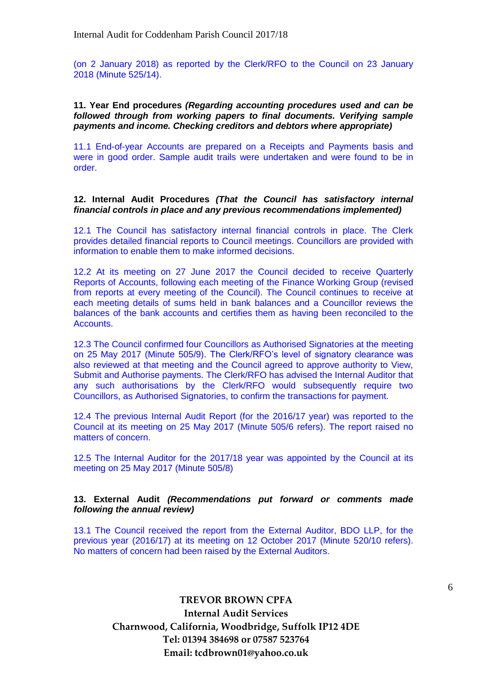(on 2 January 2018) as reported by the Clerk/RFO to the Council on 23 January 2018 (Minute 525/14).

#### **11. Year End procedures** *(Regarding accounting procedures used and can be followed through from working papers to final documents. Verifying sample payments and income. Checking creditors and debtors where appropriate)*

11.1 End-of-year Accounts are prepared on a Receipts and Payments basis and were in good order. Sample audit trails were undertaken and were found to be in order.

#### **12. Internal Audit Procedures** *(That the Council has satisfactory internal financial controls in place and any previous recommendations implemented)*

12.1 The Council has satisfactory internal financial controls in place. The Clerk provides detailed financial reports to Council meetings. Councillors are provided with information to enable them to make informed decisions.

12.2 At its meeting on 27 June 2017 the Council decided to receive Quarterly Reports of Accounts, following each meeting of the Finance Working Group (revised from reports at every meeting of the Council). The Council continues to receive at each meeting details of sums held in bank balances and a Councillor reviews the balances of the bank accounts and certifies them as having been reconciled to the Accounts.

12.3 The Council confirmed four Councillors as Authorised Signatories at the meeting on 25 May 2017 (Minute 505/9). The Clerk/RFO's level of signatory clearance was also reviewed at that meeting and the Council agreed to approve authority to View, Submit and Authorise payments. The Clerk/RFO has advised the Internal Auditor that any such authorisations by the Clerk/RFO would subsequently require two Councillors, as Authorised Signatories, to confirm the transactions for payment.

12.4 The previous Internal Audit Report (for the 2016/17 year) was reported to the Council at its meeting on 25 May 2017 (Minute 505/6 refers). The report raised no matters of concern.

12.5 The Internal Auditor for the 2017/18 year was appointed by the Council at its meeting on 25 May 2017 (Minute 505/8)

#### **13. External Audit** *(Recommendations put forward or comments made following the annual review)*

13.1 The Council received the report from the External Auditor, BDO LLP, for the previous year (2016/17) at its meeting on 12 October 2017 (Minute 520/10 refers). No matters of concern had been raised by the External Auditors.